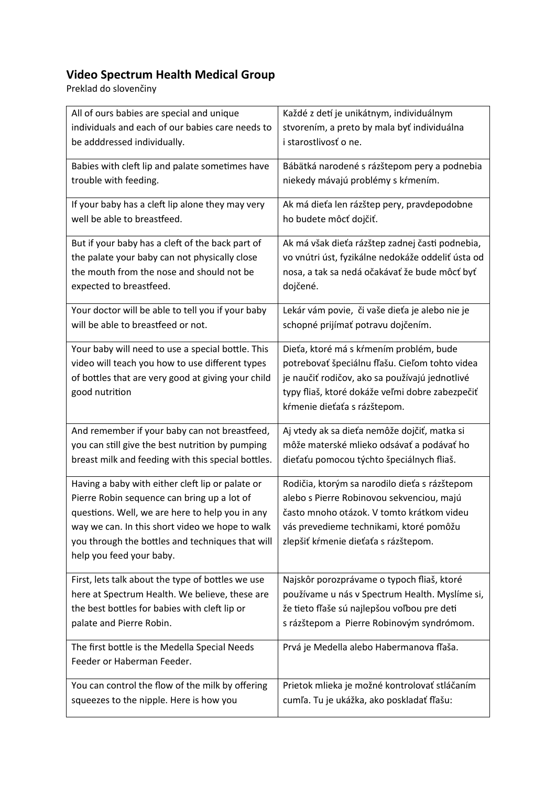## **Video Spectrum Health Medical Group**

Preklad do slovenčiny

| All of ours babies are special and unique          | Každé z detí je unikátnym, individuálnym          |
|----------------------------------------------------|---------------------------------------------------|
| individuals and each of our babies care needs to   | stvorením, a preto by mala byť individuálna       |
| be adddressed individually.                        | i starostlivosť o ne.                             |
| Babies with cleft lip and palate sometimes have    | Bábätká narodené s rázštepom pery a podnebia      |
| trouble with feeding.                              | niekedy mávajú problémy s kŕmením.                |
| If your baby has a cleft lip alone they may very   | Ak má dieťa len rázštep pery, pravdepodobne       |
| well be able to breastfeed.                        | ho budete môcť dojčiť.                            |
| But if your baby has a cleft of the back part of   | Ak má však dieťa rázštep zadnej časti podnebia,   |
| the palate your baby can not physically close      | vo vnútri úst, fyzikálne nedokáže oddeliť ústa od |
| the mouth from the nose and should not be          | nosa, a tak sa nedá očakávať že bude môcť byť     |
| expected to breastfeed.                            | dojčené.                                          |
| Your doctor will be able to tell you if your baby  | Lekár vám povie, či vaše dieťa je alebo nie je    |
| will be able to breastfeed or not.                 | schopné prijímať potravu dojčením.                |
| Your baby will need to use a special bottle. This  | Dieťa, ktoré má s kŕmením problém, bude           |
| video will teach you how to use different types    | potrebovať špeciálnu fľašu. Cieľom tohto videa    |
| of bottles that are very good at giving your child | je naučiť rodičov, ako sa používajú jednotlivé    |
| good nutrition                                     | typy fliaš, ktoré dokáže veľmi dobre zabezpečiť   |
|                                                    | kŕmenie dieťaťa s rázštepom.                      |
| And remember if your baby can not breastfeed,      | Aj vtedy ak sa dieťa nemôže dojčiť, matka si      |
| you can still give the best nutrition by pumping   | môže materské mlieko odsávať a podávať ho         |
| breast milk and feeding with this special bottles. | dieťaťu pomocou týchto špeciálnych fliaš.         |
| Having a baby with either cleft lip or palate or   | Rodičia, ktorým sa narodilo dieťa s rázštepom     |
| Pierre Robin sequence can bring up a lot of        | alebo s Pierre Robinovou sekvenciou, majú         |
| questions. Well, we are here to help you in any    | často mnoho otázok. V tomto krátkom videu         |
| way we can. In this short video we hope to walk    | vás prevedieme technikami, ktoré pomôžu           |
| you through the bottles and techniques that will   | zlepšiť kŕmenie dieťaťa s rázštepom.              |
| help you feed your baby.                           |                                                   |
| First, lets talk about the type of bottles we use  | Najskôr porozprávame o typoch fliaš, ktoré        |
| here at Spectrum Health. We believe, these are     | používame u nás v Spectrum Health. Myslíme si,    |
| the best bottles for babies with cleft lip or      | že tieto fľaše sú najlepšou voľbou pre deti       |
| palate and Pierre Robin.                           | s rázštepom a Pierre Robinovým syndrómom.         |
| The first bottle is the Medella Special Needs      | Prvá je Medella alebo Habermanova fľaša.          |
| Feeder or Haberman Feeder.                         |                                                   |
| You can control the flow of the milk by offering   | Prietok mlieka je možné kontrolovať stláčaním     |
| squeezes to the nipple. Here is how you            | cumľa. Tu je ukážka, ako poskladať fľašu:         |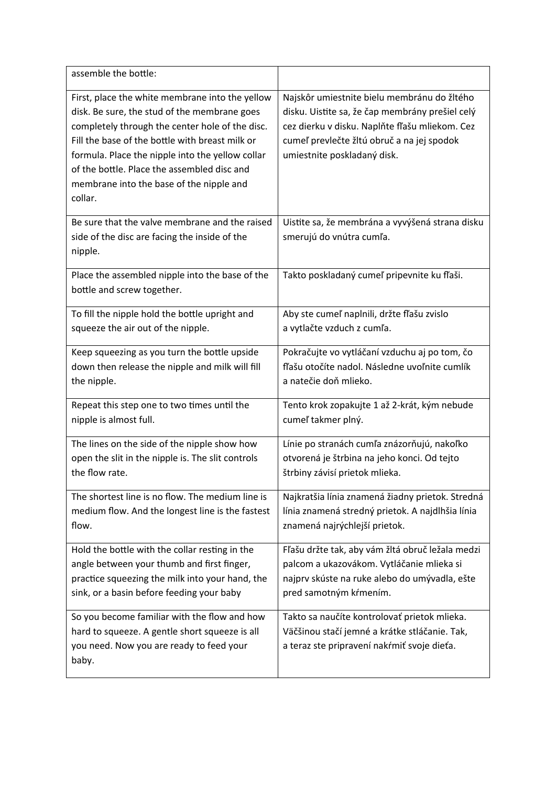| assemble the bottle:                                                                                                                                                                                                                                                                                                                                            |                                                                                                                                                                                                                               |
|-----------------------------------------------------------------------------------------------------------------------------------------------------------------------------------------------------------------------------------------------------------------------------------------------------------------------------------------------------------------|-------------------------------------------------------------------------------------------------------------------------------------------------------------------------------------------------------------------------------|
| First, place the white membrane into the yellow<br>disk. Be sure, the stud of the membrane goes<br>completely through the center hole of the disc.<br>Fill the base of the bottle with breast milk or<br>formula. Place the nipple into the yellow collar<br>of the bottle. Place the assembled disc and<br>membrane into the base of the nipple and<br>collar. | Najskôr umiestnite bielu membránu do žltého<br>disku. Uistite sa, že čap membrány prešiel celý<br>cez dierku v disku. Naplňte fľašu mliekom. Cez<br>cumeľ prevlečte žltú obruč a na jej spodok<br>umiestnite poskladaný disk. |
| Be sure that the valve membrane and the raised<br>side of the disc are facing the inside of the<br>nipple.                                                                                                                                                                                                                                                      | Uistite sa, že membrána a vyvýšená strana disku<br>smerujú do vnútra cumľa.                                                                                                                                                   |
| Place the assembled nipple into the base of the<br>bottle and screw together.                                                                                                                                                                                                                                                                                   | Takto poskladaný cumeľ pripevnite ku fľaši.                                                                                                                                                                                   |
| To fill the nipple hold the bottle upright and                                                                                                                                                                                                                                                                                                                  | Aby ste cumeľ naplnili, držte fľašu zvislo                                                                                                                                                                                    |
| squeeze the air out of the nipple.                                                                                                                                                                                                                                                                                                                              | a vytlačte vzduch z cumľa.                                                                                                                                                                                                    |
| Keep squeezing as you turn the bottle upside                                                                                                                                                                                                                                                                                                                    | Pokračujte vo vytláčaní vzduchu aj po tom, čo                                                                                                                                                                                 |
| down then release the nipple and milk will fill                                                                                                                                                                                                                                                                                                                 | fľašu otočíte nadol. Následne uvoľnite cumlík                                                                                                                                                                                 |
| the nipple.                                                                                                                                                                                                                                                                                                                                                     | a natečie doň mlieko.                                                                                                                                                                                                         |
| Repeat this step one to two times until the                                                                                                                                                                                                                                                                                                                     | Tento krok zopakujte 1 až 2-krát, kým nebude                                                                                                                                                                                  |
| nipple is almost full.                                                                                                                                                                                                                                                                                                                                          | cumeľ takmer plný.                                                                                                                                                                                                            |
| The lines on the side of the nipple show how                                                                                                                                                                                                                                                                                                                    | Línie po stranách cumľa znázorňujú, nakoľko                                                                                                                                                                                   |
| open the slit in the nipple is. The slit controls                                                                                                                                                                                                                                                                                                               | otvorená je štrbina na jeho konci. Od tejto                                                                                                                                                                                   |
| the flow rate.                                                                                                                                                                                                                                                                                                                                                  | štrbiny závisí prietok mlieka.                                                                                                                                                                                                |
| The shortest line is no flow. The medium line is                                                                                                                                                                                                                                                                                                                | Najkratšia línia znamená žiadny prietok. Stredná                                                                                                                                                                              |
| medium flow. And the longest line is the fastest                                                                                                                                                                                                                                                                                                                | línia znamená stredný prietok. A najdlhšia línia                                                                                                                                                                              |
| flow.                                                                                                                                                                                                                                                                                                                                                           | znamená najrýchlejší prietok.                                                                                                                                                                                                 |
| Hold the bottle with the collar resting in the                                                                                                                                                                                                                                                                                                                  | Fľašu držte tak, aby vám žltá obruč ležala medzi                                                                                                                                                                              |
| angle between your thumb and first finger,                                                                                                                                                                                                                                                                                                                      | palcom a ukazovákom. Vytláčanie mlieka si                                                                                                                                                                                     |
| practice squeezing the milk into your hand, the                                                                                                                                                                                                                                                                                                                 | najprv skúste na ruke alebo do umývadla, ešte                                                                                                                                                                                 |
| sink, or a basin before feeding your baby                                                                                                                                                                                                                                                                                                                       | pred samotným kŕmením.                                                                                                                                                                                                        |
| So you become familiar with the flow and how<br>hard to squeeze. A gentle short squeeze is all<br>you need. Now you are ready to feed your<br>baby.                                                                                                                                                                                                             | Takto sa naučíte kontrolovať prietok mlieka.<br>Väčšinou stačí jemné a krátke stláčanie. Tak,<br>a teraz ste pripravení nakŕmiť svoje dieťa.                                                                                  |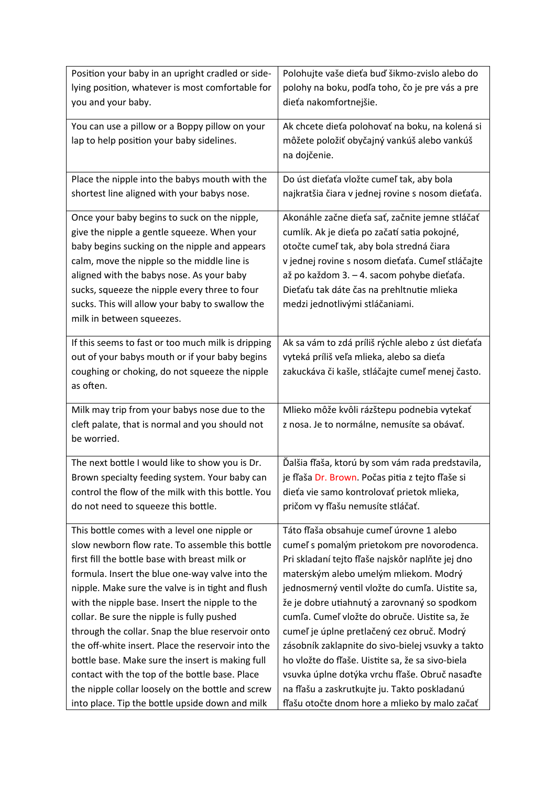| Position your baby in an upright cradled or side-                            | Polohujte vaše dieťa buď šikmo-zvislo alebo do     |
|------------------------------------------------------------------------------|----------------------------------------------------|
| lying position, whatever is most comfortable for                             | polohy na boku, podľa toho, čo je pre vás a pre    |
| you and your baby.                                                           | dieťa nakomfortnejšie.                             |
| You can use a pillow or a Boppy pillow on your                               | Ak chcete dieťa polohovať na boku, na kolená si    |
| lap to help position your baby sidelines.                                    | môžete položiť obyčajný vankúš alebo vankúš        |
|                                                                              | na dojčenie.                                       |
|                                                                              |                                                    |
| Place the nipple into the babys mouth with the                               | Do úst dieťaťa vložte cumeľ tak, aby bola          |
| shortest line aligned with your babys nose.                                  | najkratšia čiara v jednej rovine s nosom dieťaťa.  |
|                                                                              |                                                    |
| Once your baby begins to suck on the nipple,                                 | Akonáhle začne dieťa sať, začnite jemne stláčať    |
| give the nipple a gentle squeeze. When your                                  | cumlík. Ak je dieťa po začatí satia pokojné,       |
| baby begins sucking on the nipple and appears                                | otočte cumeľ tak, aby bola stredná čiara           |
| calm, move the nipple so the middle line is                                  | v jednej rovine s nosom dieťaťa. Cumeľ stláčajte   |
| aligned with the babys nose. As your baby                                    | až po každom 3. – 4. sacom pohybe dieťaťa.         |
| sucks, squeeze the nipple every three to four                                | Dieťaťu tak dáte čas na prehltnutie mlieka         |
| sucks. This will allow your baby to swallow the<br>milk in between squeezes. | medzi jednotlivými stláčaniami.                    |
|                                                                              |                                                    |
| If this seems to fast or too much milk is dripping                           | Ak sa vám to zdá príliš rýchle alebo z úst dieťaťa |
| out of your babys mouth or if your baby begins                               | vyteká príliš veľa mlieka, alebo sa dieťa          |
| coughing or choking, do not squeeze the nipple                               | zakuckáva či kašle, stláčajte cumeľ menej často.   |
| as often.                                                                    |                                                    |
| Milk may trip from your babys nose due to the                                | Mlieko môže kvôli rázštepu podnebia vytekať        |
| cleft palate, that is normal and you should not                              | z nosa. Je to normálne, nemusíte sa obávať.        |
| be worried.                                                                  |                                                    |
|                                                                              |                                                    |
| The next bottle I would like to show you is Dr.                              | Ďalšia fľaša, ktorú by som vám rada predstavila,   |
| Brown specialty feeding system. Your baby can                                | je fľaša Dr. Brown. Počas pitia z tejto fľaše si   |
| control the flow of the milk with this bottle. You                           | dieťa vie samo kontrolovať prietok mlieka,         |
| do not need to squeeze this bottle.                                          | pričom vy fľašu nemusíte stláčať.                  |
| This bottle comes with a level one nipple or                                 | Táto fľaša obsahuje cumeľ úrovne 1 alebo           |
| slow newborn flow rate. To assemble this bottle                              | cumeľ s pomalým prietokom pre novorodenca.         |
| first fill the bottle base with breast milk or                               | Pri skladaní tejto fľaše najskôr naplňte jej dno   |
| formula. Insert the blue one-way valve into the                              | materským alebo umelým mliekom. Modrý              |
| nipple. Make sure the valve is in tight and flush                            | jednosmerný ventil vložte do cumľa. Uistite sa,    |
| with the nipple base. Insert the nipple to the                               | že je dobre utiahnutý a zarovnaný so spodkom       |
| collar. Be sure the nipple is fully pushed                                   | cumľa. Cumeľ vložte do obruče. Uistite sa, že      |
| through the collar. Snap the blue reservoir onto                             | cumeľ je úplne pretlačený cez obruč. Modrý         |
| the off-white insert. Place the reservoir into the                           | zásobník zaklapnite do sivo-bielej vsuvky a takto  |
| bottle base. Make sure the insert is making full                             | ho vložte do fľaše. Uistite sa, že sa sivo-biela   |
| contact with the top of the bottle base. Place                               | vsuvka úplne dotýka vrchu fľaše. Obruč nasaďte     |
| the nipple collar loosely on the bottle and screw                            | na fľašu a zaskrutkujte ju. Takto poskladanú       |
| into place. Tip the bottle upside down and milk                              | fľašu otočte dnom hore a mlieko by malo začať      |